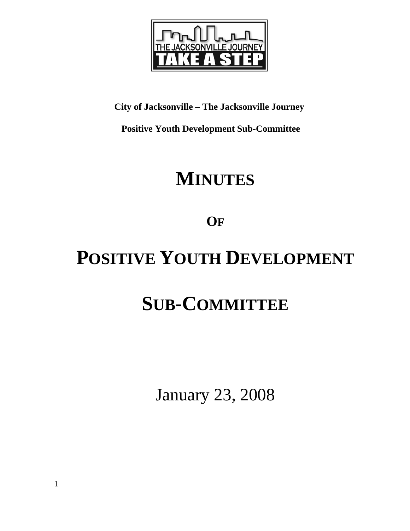

#### **City of Jacksonville – The Jacksonville Journey**

 **Positive Youth Development Sub-Committee** 

## **MINUTES**

### **OF**

# **POSITIVE YOUTH DEVELOPMENT**

## **SUB-COMMITTEE**

January 23, 2008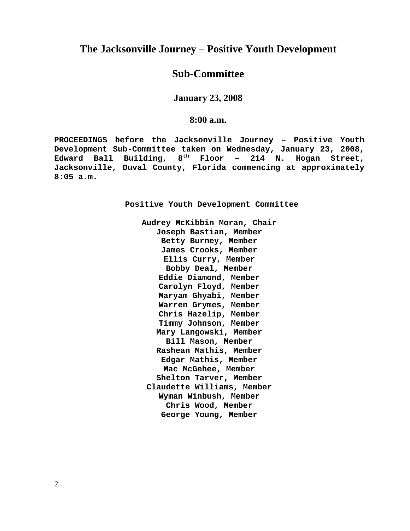#### **The Jacksonville Journey – Positive Youth Development**

#### **Sub-Committee**

**January 23, 2008** 

**8:00 a.m.**

**PROCEEDINGS before the Jacksonville Journey – Positive Youth Development Sub-Committee taken on Wednesday, January 23, 2008, Edward Ball Building, 8th Floor – 214 N. Hogan Street, Jacksonville, Duval County, Florida commencing at approximately 8:05 a.m.** 

**Positive Youth Development Committee** 

**Audrey McKibbin Moran, Chair Joseph Bastian, Member Betty Burney, Member James Crooks, Member Ellis Curry, Member Bobby Deal, Member Eddie Diamond, Member Carolyn Floyd, Member Maryam Ghyabi, Member Warren Grymes, Member Chris Hazelip, Member Timmy Johnson, Member Mary Langowski, Member Bill Mason, Member Rashean Mathis, Member Edgar Mathis, Member Mac McGehee, Member Shelton Tarver, Member Claudette Williams, Member Wyman Winbush, Member Chris Wood, Member George Young, Member** 

2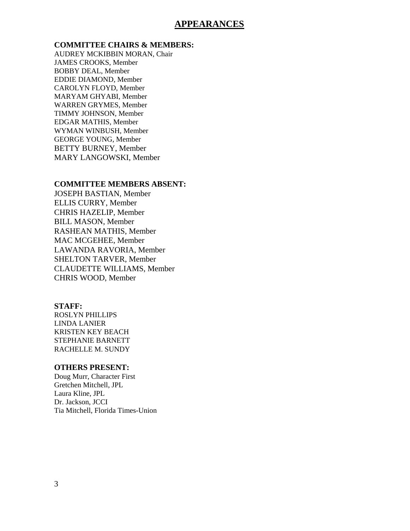#### **APPEARANCES**

#### **COMMITTEE CHAIRS & MEMBERS:**

AUDREY MCKIBBIN MORAN, Chair JAMES CROOKS, Member BOBBY DEAL, Member EDDIE DIAMOND, Member CAROLYN FLOYD, Member MARYAM GHYABI, Member WARREN GRYMES, Member TIMMY JOHNSON, Member EDGAR MATHIS, Member WYMAN WINBUSH, Member GEORGE YOUNG, Member BETTY BURNEY, Member MARY LANGOWSKI, Member

#### **COMMITTEE MEMBERS ABSENT:**

JOSEPH BASTIAN, Member ELLIS CURRY, Member CHRIS HAZELIP, Member BILL MASON, Member RASHEAN MATHIS, Member MAC MCGEHEE, Member LAWANDA RAVORIA, Member SHELTON TARVER, Member CLAUDETTE WILLIAMS, Member CHRIS WOOD, Member

#### **STAFF:**

ROSLYN PHILLIPS LINDA LANIER KRISTEN KEY BEACH STEPHANIE BARNETT RACHELLE M. SUNDY

#### **OTHERS PRESENT:**

Doug Murr, Character First Gretchen Mitchell, JPL Laura Kline, JPL Dr. Jackson, JCCI Tia Mitchell, Florida Times-Union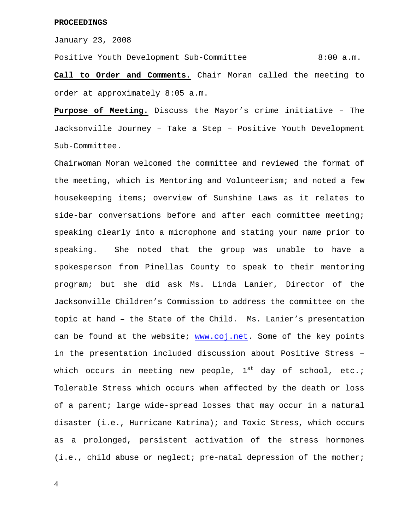January 23, 2008

Positive Youth Development Sub-Committee 8:00 a.m.

**Call to Order and Comments.** Chair Moran called the meeting to order at approximately 8:05 a.m.

**Purpose of Meeting.** Discuss the Mayor's crime initiative – The Jacksonville Journey – Take a Step – Positive Youth Development Sub-Committee.

Chairwoman Moran welcomed the committee and reviewed the format of the meeting, which is Mentoring and Volunteerism; and noted a few housekeeping items; overview of Sunshine Laws as it relates to side-bar conversations before and after each committee meeting; speaking clearly into a microphone and stating your name prior to speaking. She noted that the group was unable to have a spokesperson from Pinellas County to speak to their mentoring program; but she did ask Ms. Linda Lanier, Director of the Jacksonville Children's Commission to address the committee on the topic at hand – the State of the Child. Ms. Lanier's presentation can be found at the website; www.coj.net. Some of the key points in the presentation included discussion about Positive Stress – which occurs in meeting new people,  $1^{st}$  day of school, etc.; Tolerable Stress which occurs when affected by the death or loss of a parent; large wide-spread losses that may occur in a natural disaster (i.e., Hurricane Katrina); and Toxic Stress, which occurs as a prolonged, persistent activation of the stress hormones (i.e., child abuse or neglect; pre-natal depression of the mother;

4